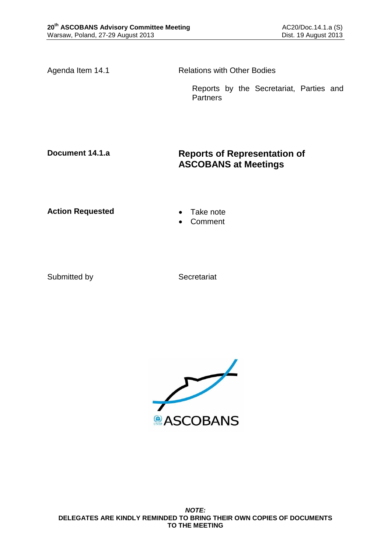Agenda Item 14.1 Relations with Other Bodies

Reports by the Secretariat, Parties and **Partners** 

# **Document 14.1.a Reports of Representation of ASCOBANS at Meetings**

**Action Requested • Take note** 

- 
- Comment

Submitted by Secretariat

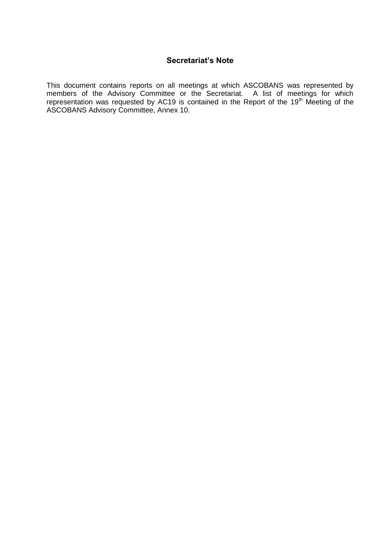## **Secretariat's Note**

This document contains reports on all meetings at which ASCOBANS was represented by members of the Advisory Committee or the Secretariat. A list of meetings for which representation was requested by AC19 is contained in the Report of the 19<sup>th</sup> Meeting of the ASCOBANS Advisory Committee, Annex 10.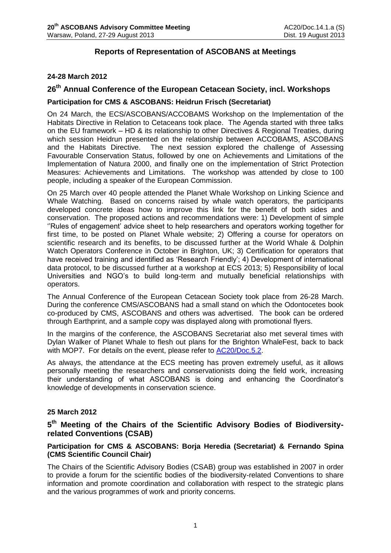## **Reports of Representation of ASCOBANS at Meetings**

### **24-28 March 2012**

## **26th Annual Conference of the European Cetacean Society, incl. Workshops**

### **Participation for CMS & ASCOBANS: Heidrun Frisch (Secretariat)**

On 24 March, the ECS/ASCOBANS/ACCOBAMS Workshop on the Implementation of the Habitats Directive in Relation to Cetaceans took place. The Agenda started with three talks on the EU framework – HD & its relationship to other Directives & Regional Treaties, during which session Heidrun presented on the relationship between ACCOBAMS, ASCOBANS and the Habitats Directive. The next session explored the challenge of Assessing Favourable Conservation Status, followed by one on Achievements and Limitations of the Implementation of Natura 2000, and finally one on the implementation of Strict Protection Measures: Achievements and Limitations. The workshop was attended by close to 100 people, including a speaker of the European Commission.

On 25 March over 40 people attended the Planet Whale Workshop on Linking Science and Whale Watching. Based on concerns raised by whale watch operators, the participants developed concrete ideas how to improve this link for the benefit of both sides and conservation. The proposed actions and recommendations were: 1) Development of simple ''Rules of engagement' advice sheet to help researchers and operators working together for first time, to be posted on Planet Whale website; 2) Offering a course for operators on scientific research and its benefits, to be discussed further at the World Whale & Dolphin Watch Operators Conference in October in Brighton, UK; 3) Certification for operators that have received training and identified as 'Research Friendly'; 4) Development of international data protocol, to be discussed further at a workshop at ECS 2013; 5) Responsibility of local Universities and NGO's to build long-term and mutually beneficial relationships with operators.

The Annual Conference of the European Cetacean Society took place from 26-28 March. During the conference CMS/ASCOBANS had a small stand on which the Odontocetes book co-produced by CMS, ASCOBANS and others was advertised. The book can be ordered through Earthprint, and a sample copy was displayed along with promotional flyers.

In the margins of the conference, the ASCOBANS Secretariat also met several times with Dylan Walker of Planet Whale to flesh out plans for the Brighton WhaleFest, back to back with MOP7. For details on the event, please refer to [AC20/Doc.5.2.](http://www.ascobans.org/pdf/ac20/AC20_5.2_OutreachReport.pdf)

As always, the attendance at the ECS meeting has proven extremely useful, as it allows personally meeting the researchers and conservationists doing the field work, increasing their understanding of what ASCOBANS is doing and enhancing the Coordinator's knowledge of developments in conservation science.

### **25 March 2012**

## **5 th Meeting of the Chairs of the Scientific Advisory Bodies of Biodiversityrelated Conventions (CSAB)**

### **Participation for CMS & ASCOBANS: Borja Heredia (Secretariat) & Fernando Spina (CMS Scientific Council Chair)**

The Chairs of the Scientific Advisory Bodies (CSAB) group was established in 2007 in order to provide a forum for the scientific bodies of the biodiversity-related Conventions to share information and promote coordination and collaboration with respect to the strategic plans and the various programmes of work and priority concerns.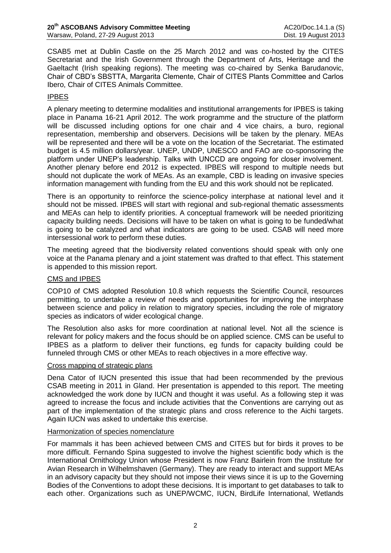CSAB5 met at Dublin Castle on the 25 March 2012 and was co-hosted by the CITES Secretariat and the Irish Government through the Department of Arts, Heritage and the Gaeltacht (Irish speaking regions). The meeting was co-chaired by Senka Barudanovic, Chair of CBD's SBSTTA, Margarita Clemente, Chair of CITES Plants Committee and Carlos Ibero, Chair of CITES Animals Committee.

### IPBES

A plenary meeting to determine modalities and institutional arrangements for IPBES is taking place in Panama 16-21 April 2012. The work programme and the structure of the platform will be discussed including options for one chair and 4 vice chairs, a buro, regional representation, membership and observers. Decisions will be taken by the plenary. MEAs will be represented and there will be a vote on the location of the Secretariat. The estimated budget is 4.5 million dollars/year. UNEP, UNDP, UNESCO and FAO are co-sponsoring the platform under UNEP's leadership. Talks with UNCCD are ongoing for closer involvement. Another plenary before end 2012 is expected. IPBES will respond to multiple needs but should not duplicate the work of MEAs. As an example, CBD is leading on invasive species information management with funding from the EU and this work should not be replicated.

There is an opportunity to reinforce the science-policy interphase at national level and it should not be missed. IPBES will start with regional and sub-regional thematic assessments and MEAs can help to identify priorities. A conceptual framework will be needed prioritizing capacity building needs. Decisions will have to be taken on what is going to be funded/what is going to be catalyzed and what indicators are going to be used. CSAB will need more intersessional work to perform these duties.

The meeting agreed that the biodiversity related conventions should speak with only one voice at the Panama plenary and a joint statement was drafted to that effect. This statement is appended to this mission report.

### CMS and IPBES

COP10 of CMS adopted Resolution 10.8 which requests the Scientific Council, resources permitting, to undertake a review of needs and opportunities for improving the interphase between science and policy in relation to migratory species, including the role of migratory species as indicators of wider ecological change.

The Resolution also asks for more coordination at national level. Not all the science is relevant for policy makers and the focus should be on applied science. CMS can be useful to IPBES as a platform to deliver their functions, eg funds for capacity building could be funneled through CMS or other MEAs to reach objectives in a more effective way.

### Cross mapping of strategic plans

Dena Cator of IUCN presented this issue that had been recommended by the previous CSAB meeting in 2011 in Gland. Her presentation is appended to this report. The meeting acknowledged the work done by IUCN and thought it was useful. As a following step it was agreed to increase the focus and include activities that the Conventions are carrying out as part of the implementation of the strategic plans and cross reference to the Aichi targets. Again IUCN was asked to undertake this exercise.

#### Harmonization of species nomenclature

For mammals it has been achieved between CMS and CITES but for birds it proves to be more difficult. Fernando Spina suggested to involve the highest scientific body which is the International Ornithology Union whose President is now Franz Bairlein from the Institute for Avian Research in Wilhelmshaven (Germany). They are ready to interact and support MEAs in an advisory capacity but they should not impose their views since it is up to the Governing Bodies of the Conventions to adopt these decisions. It is important to get databases to talk to each other. Organizations such as UNEP/WCMC, IUCN, BirdLife International, Wetlands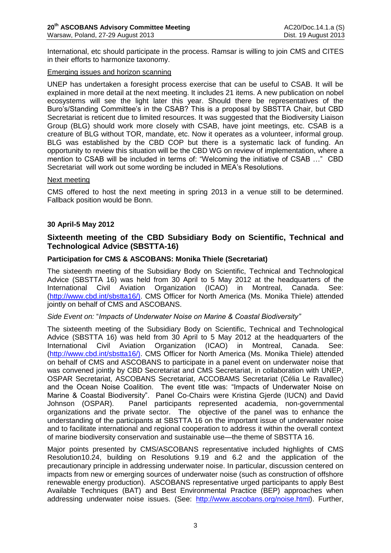International, etc should participate in the process. Ramsar is willing to join CMS and CITES in their efforts to harmonize taxonomy.

#### Emerging issues and horizon scanning

UNEP has undertaken a foresight process exercise that can be useful to CSAB. It will be explained in more detail at the next meeting. It includes 21 items. A new publication on nobel ecosystems will see the light later this year. Should there be representatives of the Buro's/Standing Committee's in the CSAB? This is a proposal by SBSTTA Chair, but CBD Secretariat is reticent due to limited resources. It was suggested that the Biodiversity Liaison Group (BLG) should work more closely with CSAB, have joint meetings, etc. CSAB is a creature of BLG without TOR, mandate, etc. Now it operates as a volunteer, informal group. BLG was established by the CBD COP but there is a systematic lack of funding. An opportunity to review this situation will be the CBD WG on review of implementation, where a mention to CSAB will be included in terms of: "Welcoming the initiative of CSAB …" CBD Secretariat will work out some wording be included in MEA's Resolutions.

#### Next meeting

CMS offered to host the next meeting in spring 2013 in a venue still to be determined. Fallback position would be Bonn.

### **30 April-5 May 2012**

## **Sixteenth meeting of the CBD Subsidiary Body on Scientific, Technical and Technological Advice (SBSTTA-16)**

### **Participation for CMS & ASCOBANS: Monika Thiele (Secretariat)**

The sixteenth meeting of the Subsidiary Body on Scientific, Technical and Technological Advice (SBSTTA 16) was held from 30 April to 5 May 2012 at the headquarters of the International Civil Aviation Organization (ICAO) in Montreal, Canada. See: [\(http://www.cbd.int/sbstta16/\).](http://www.cbd.int/sbstta16/)) CMS Officer for North America (Ms. Monika Thiele) attended jointly on behalf of CMS and ASCOBANS.

#### *Side Event on:* "*Impacts of Underwater Noise on Marine & Coastal Biodiversity"*

The sixteenth meeting of the Subsidiary Body on Scientific, Technical and Technological Advice (SBSTTA 16) was held from 30 April to 5 May 2012 at the headquarters of the International Civil Aviation Organization (ICAO) in Montreal, Canada. See: [\(http://www.cbd.int/sbstta16/\).](http://www.cbd.int/sbstta16/)) CMS Officer for North America (Ms. Monika Thiele) attended on behalf of CMS and ASCOBANS to participate in a panel event on underwater noise that was convened jointly by CBD Secretariat and CMS Secretariat, in collaboration with UNEP, OSPAR Secretariat, ASCOBANS Secretariat, ACCOBAMS Secretariat (Célia Le Ravallec) and the Ocean Noise Coalition. The event title was: "Impacts of Underwater Noise on Marine & Coastal Biodiversity". Panel Co-Chairs were Kristina Gjerde (IUCN) and David Johnson (OSPAR). Panel participants represented academia, non-governmental organizations and the private sector. The objective of the panel was to enhance the understanding of the participants at SBSTTA 16 on the important issue of underwater noise and to facilitate international and regional cooperation to address it within the overall context of marine biodiversity conservation and sustainable use—the theme of SBSTTA 16.

Major points presented by CMS/ASCOBANS representative included highlights of CMS Resolution10.24, building on Resolutions 9.19 and 6.2 and the application of the precautionary principle in addressing underwater noise. In particular, discussion centered on impacts from new or emerging sources of underwater noise (such as construction of offshore renewable energy production). ASCOBANS representative urged participants to apply Best Available Techniques (BAT) and Best Environmental Practice (BEP) approaches when addressing underwater noise issues. (See: [http://www.ascobans.org/noise.html\)](http://www.ascobans.org/noise.html). Further,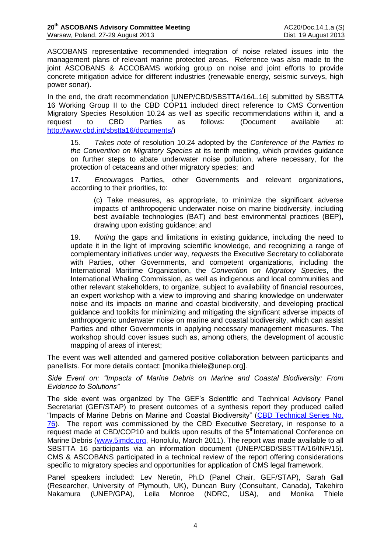ASCOBANS representative recommended integration of noise related issues into the management plans of relevant marine protected areas. Reference was also made to the joint ASCOBANS & ACCOBAMS working group on noise and joint efforts to provide concrete mitigation advice for different industries (renewable energy, seismic surveys, high power sonar).

In the end, the draft recommendation [UNEP/CBD/SBSTTA/16/L.16] submitted by SBSTTA 16 Working Group II to the CBD COP11 included direct reference to CMS Convention Migratory Species Resolution 10.24 as well as specific recommendations within it, and a request to CBD Parties as follows: (Document available at: [http://www.cbd.int/sbstta16/documents/\)](http://www.cbd.int/sbstta16/documents/)

15*. Takes note* of resolution 10.24 adopted by the *Conference of the Parties to the Convention on Migratory Species* at its tenth meeting, which provides guidance on further steps to abate underwater noise pollution, where necessary, for the protection of cetaceans and other migratory species; and

17. *Encourages* Parties, other Governments and relevant organizations, according to their priorities, to:

(c) Take measures, as appropriate, to minimize the significant adverse impacts of anthropogenic underwater noise on marine biodiversity, including best available technologies (BAT) and best environmental practices (BEP), drawing upon existing guidance; and

19. *Noting* the gaps and limitations in existing guidance, including the need to update it in the light of improving scientific knowledge, and recognizing a range of complementary initiatives under way, *requests* the Executive Secretary to collaborate with Parties, other Governments, and competent organizations, including the International Maritime Organization, the *Convention on Migratory Species*, the International Whaling Commission, as well as indigenous and local communities and other relevant stakeholders, to organize, subject to availability of financial resources, an expert workshop with a view to improving and sharing knowledge on underwater noise and its impacts on marine and coastal biodiversity, and developing practical guidance and toolkits for minimizing and mitigating the significant adverse impacts of anthropogenic underwater noise on marine and coastal biodiversity, which can assist Parties and other Governments in applying necessary management measures. The workshop should cover issues such as, among others, the development of acoustic mapping of areas of interest;

The event was well attended and garnered positive collaboration between participants and panellists. For more details contact: [monika.thiele@unep.org].

*Side Event on: "Impacts of Marine Debris on Marine and Coastal Biodiversity: From Evidence to Solutions"* 

The side event was organized by The GEF's Scientific and Technical Advisory Panel Secretariat (GEF/STAP) to present outcomes of a synthesis report they produced called "Impacts of Marine Debris on Marine and Coastal Biodiversity" [\(CBD Technical Series No.](http://www.thegef.org/gef/sites/thegef.org/files/publication/cbd-ts-67-en.pdf)  [76\)](http://www.thegef.org/gef/sites/thegef.org/files/publication/cbd-ts-67-en.pdf). The report was commissioned by the CBD Executive Secretary, in response to a request made at CBD/COP10 and builds upon results of the 5<sup>th</sup>International Conference on Marine Debris [\(www.5imdc.org,](http://www.5imdc.org/) Honolulu, March 2011). The report was made available to all SBSTTA 16 participants via an information document (UNEP/CBD/SBSTTA/16/INF/15). CMS & ASCOBANS participated in a technical review of the report offering considerations specific to migratory species and opportunities for application of CMS legal framework.

Panel speakers included: Lev Neretin, Ph.D (Panel Chair, GEF/STAP), Sarah Gall (Researcher, University of Plymouth, UK), Duncan Bury (Consultant, Canada), Takehiro Nakamura (UNEP/GPA), Leila Monroe (NDRC, USA), and Monika Thiele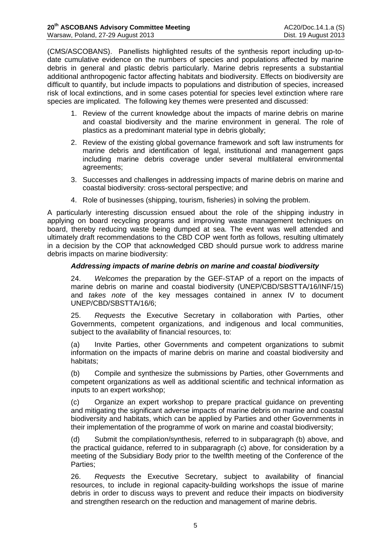(CMS/ASCOBANS). Panellists highlighted results of the synthesis report including up-todate cumulative evidence on the numbers of species and populations affected by marine debris in general and plastic debris particularly. Marine debris represents a substantial additional anthropogenic factor affecting habitats and biodiversity. Effects on biodiversity are difficult to quantify, but include impacts to populations and distribution of species, increased risk of local extinctions, and in some cases potential for species level extinction where rare species are implicated. The following key themes were presented and discussed:

- 1. Review of the current knowledge about the impacts of marine debris on marine and coastal biodiversity and the marine environment in general. The role of plastics as a predominant material type in debris globally;
- 2. Review of the existing global governance framework and soft law instruments for marine debris and identification of legal, institutional and management gaps including marine debris coverage under several multilateral environmental agreements;
- 3. Successes and challenges in addressing impacts of marine debris on marine and coastal biodiversity: cross-sectoral perspective; and
- 4. Role of businesses (shipping, tourism, fisheries) in solving the problem.

A particularly interesting discussion ensued about the role of the shipping industry in applying on board recycling programs and improving waste management techniques on board, thereby reducing waste being dumped at sea. The event was well attended and ultimately draft recommendations to the CBD COP went forth as follows, resulting ultimately in a decision by the COP that acknowledged CBD should pursue work to address marine debris impacts on marine biodiversity:

## *Addressing impacts of marine debris on marine and coastal biodiversity*

24. *Welcomes* the preparation by the GEF-STAP of a report on the impacts of marine debris on marine and coastal biodiversity (UNEP/CBD/SBSTTA/16/INF/15) and *takes note* of the key messages contained in annex IV to document UNEP/CBD/SBSTTA/16/6;

25. *Requests* the Executive Secretary in collaboration with Parties, other Governments, competent organizations, and indigenous and local communities, subject to the availability of financial resources, to:

(a) Invite Parties, other Governments and competent organizations to submit information on the impacts of marine debris on marine and coastal biodiversity and habitats;

(b) Compile and synthesize the submissions by Parties, other Governments and competent organizations as well as additional scientific and technical information as inputs to an expert workshop;

(c) Organize an expert workshop to prepare practical guidance on preventing and mitigating the significant adverse impacts of marine debris on marine and coastal biodiversity and habitats, which can be applied by Parties and other Governments in their implementation of the programme of work on marine and coastal biodiversity;

(d) Submit the compilation/synthesis, referred to in subparagraph (b) above, and the practical guidance, referred to in subparagraph (c) above, for consideration by a meeting of the Subsidiary Body prior to the twelfth meeting of the Conference of the Parties;

26. *Requests* the Executive Secretary, subject to availability of financial resources, to include in regional capacity-building workshops the issue of marine debris in order to discuss ways to prevent and reduce their impacts on biodiversity and strengthen research on the reduction and management of marine debris.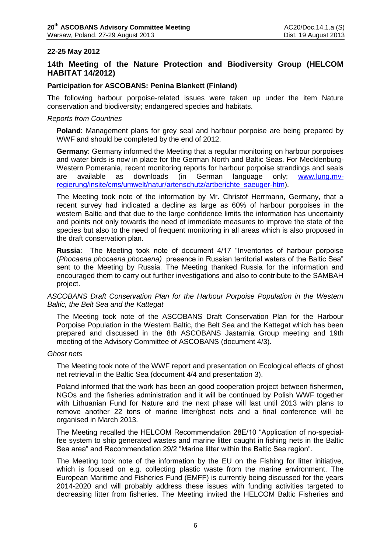### **22-25 May 2012**

## **14th Meeting of the Nature Protection and Biodiversity Group (HELCOM HABITAT 14/2012)**

#### **Participation for ASCOBANS: Penina Blankett (Finland)**

The following harbour porpoise-related issues were taken up under the item Nature conservation and biodiversity; endangered species and habitats.

#### *Reports from Countries*

**Poland**: Management plans for grey seal and harbour porpoise are being prepared by WWF and should be completed by the end of 2012.

**Germany**: Germany informed the Meeting that a regular monitoring on harbour porpoises and water birds is now in place for the German North and Baltic Seas. For Mecklenburg-Western Pomerania, recent monitoring reports for harbour porpoise strandings and seals are available as downloads (in German language only; www.lung.myare available as downloads (in German language only; [www.lung.mv](http://www.lung.mv-regierung/insite/cms/umwelt/natur/artenschutz/artberichte_saeuger-htm)[regierung/insite/cms/umwelt/natur/artenschutz/artberichte\\_saeuger-htm\)](http://www.lung.mv-regierung/insite/cms/umwelt/natur/artenschutz/artberichte_saeuger-htm).

The Meeting took note of the information by Mr. Christof Herrmann, Germany, that a recent survey had indicated a decline as large as 60% of harbour porpoises in the western Baltic and that due to the large confidence limits the information has uncertainty and points not only towards the need of immediate measures to improve the state of the species but also to the need of frequent monitoring in all areas which is also proposed in the draft conservation plan.

**Russia**: The Meeting took note of document 4/17 "Inventories of harbour porpoise (*Phocaena phocaena phocaena)* presence in Russian territorial waters of the Baltic Sea" sent to the Meeting by Russia. The Meeting thanked Russia for the information and encouraged them to carry out further investigations and also to contribute to the SAMBAH project.

### *ASCOBANS Draft Conservation Plan for the Harbour Porpoise Population in the Western Baltic, the Belt Sea and the Kattegat*

The Meeting took note of the ASCOBANS Draft Conservation Plan for the Harbour Porpoise Population in the Western Baltic, the Belt Sea and the Kattegat which has been prepared and discussed in the 8th ASCOBANS Jastarnia Group meeting and 19th meeting of the Advisory Committee of ASCOBANS (document 4/3).

#### *Ghost nets*

The Meeting took note of the WWF report and presentation on Ecological effects of ghost net retrieval in the Baltic Sea (document 4/4 and presentation 3).

Poland informed that the work has been an good cooperation project between fishermen, NGOs and the fisheries administration and it will be continued by Polish WWF together with Lithuanian Fund for Nature and the next phase will last until 2013 with plans to remove another 22 tons of marine litter/ghost nets and a final conference will be organised in March 2013.

The Meeting recalled the HELCOM Recommendation 28E/10 "Application of no-specialfee system to ship generated wastes and marine litter caught in fishing nets in the Baltic Sea area" and Recommendation 29/2 "Marine litter within the Baltic Sea region".

The Meeting took note of the information by the EU on the Fishing for litter initiative, which is focused on e.g. collecting plastic waste from the marine environment. The European Maritime and Fisheries Fund (EMFF) is currently being discussed for the years 2014-2020 and will probably address these issues with funding activities targeted to decreasing litter from fisheries. The Meeting invited the HELCOM Baltic Fisheries and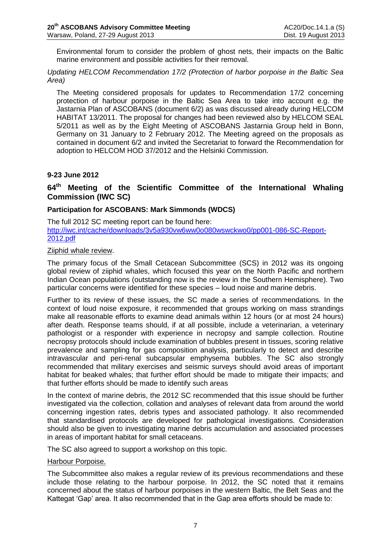Environmental forum to consider the problem of ghost nets, their impacts on the Baltic marine environment and possible activities for their removal.

*Updating HELCOM Recommendation 17/2 (Protection of harbor porpoise in the Baltic Sea Area)* 

The Meeting considered proposals for updates to Recommendation 17/2 concerning protection of harbour porpoise in the Baltic Sea Area to take into account e.g. the Jastarnia Plan of ASCOBANS (document 6/2) as was discussed already during HELCOM HABITAT 13/2011. The proposal for changes had been reviewed also by HELCOM SEAL 5/2011 as well as by the Eight Meeting of ASCOBANS Jastarnia Group held in Bonn, Germany on 31 January to 2 February 2012. The Meeting agreed on the proposals as contained in document 6/2 and invited the Secretariat to forward the Recommendation for adoption to HELCOM HOD 37/2012 and the Helsinki Commission.

## **9-23 June 2012**

## **64 th Meeting of the Scientific Committee of the International Whaling Commission (IWC SC)**

### **Participation for ASCOBANS: Mark Simmonds (WDCS)**

The full 2012 SC meeting report can be found here: [http://iwc.int/cache/downloads/3v5a930vw6ww0o080wswckwo0/pp001-086-SC-Report-](http://iwc.int/cache/downloads/3v5a930vw6ww0o080wswckwo0/pp001-086-SC-Report-2012.pdf)[2012.pdf](http://iwc.int/cache/downloads/3v5a930vw6ww0o080wswckwo0/pp001-086-SC-Report-2012.pdf)

### Ziiphid whale review.

The primary focus of the Small Cetacean Subcommittee (SCS) in 2012 was its ongoing global review of ziiphid whales, which focused this year on the North Pacific and northern Indian Ocean populations (outstanding now is the review in the Southern Hemisphere). Two particular concerns were identified for these species – loud noise and marine debris.

Further to its review of these issues, the SC made a series of recommendations. In the context of loud noise exposure, it recommended that groups working on mass strandings make all reasonable efforts to examine dead animals within 12 hours (or at most 24 hours) after death. Response teams should, if at all possible, include a veterinarian, a veterinary pathologist or a responder with experience in necropsy and sample collection. Routine necropsy protocols should include examination of bubbles present in tissues, scoring relative prevalence and sampling for gas composition analysis, particularly to detect and describe intravascular and peri-renal subcapsular emphysema bubbles. The SC also strongly recommended that military exercises and seismic surveys should avoid areas of important habitat for beaked whales; that further effort should be made to mitigate their impacts; and that further efforts should be made to identify such areas

In the context of marine debris, the 2012 SC recommended that this issue should be further investigated via the collection, collation and analyses of relevant data from around the world concerning ingestion rates, debris types and associated pathology. It also recommended that standardised protocols are developed for pathological investigations. Consideration should also be given to investigating marine debris accumulation and associated processes in areas of important habitat for small cetaceans.

The SC also agreed to support a workshop on this topic.

#### Harbour Porpoise.

The Subcommittee also makes a regular review of its previous recommendations and these include those relating to the harbour porpoise. In 2012, the SC noted that it remains concerned about the status of harbour porpoises in the western Baltic, the Belt Seas and the Kattegat 'Gap' area. It also recommended that in the Gap area efforts should be made to: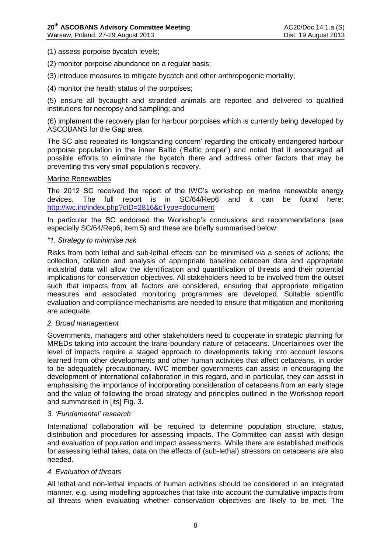(1) assess porpoise bycatch levels;

- (2) monitor porpoise abundance on a regular basis;
- (3) introduce measures to mitigate bycatch and other anthropogenic mortality;
- (4) monitor the health status of the porpoises;

(5) ensure all bycaught and stranded animals are reported and delivered to qualified institutions for necropsy and sampling; and

(6) implement the recovery plan for harbour porpoises which is currently being developed by ASCOBANS for the Gap area.

The SC also repeated its 'longstanding concern' regarding the critically endangered harbour porpoise population in the inner Baltic ('Baltic proper') and noted that it encouraged all possible efforts to eliminate the bycatch there and address other factors that may be preventing this very small population's recovery.

#### Marine Renewables

The 2012 SC received the report of the IWC's workshop on marine renewable energy devices. The full report is in SC/64/Rep6 and it can be found here: <http://iwc.int/index.php?cID=2816&cType=document>

In particular the SC endorsed the Workshop's conclusions and recommendations (see especially SC/64/Rep6, item 5) and these are briefly summarised below:

#### *"1. Strategy to minimise risk*

Risks from both lethal and sub-lethal effects can be minimised via a series of actions; the collection, collation and analysis of appropriate baseline cetacean data and appropriate industrial data will allow the identification and quantification of threats and their potential implications for conservation objectives. All stakeholders need to be involved from the outset such that impacts from all factors are considered, ensuring that appropriate mitigation measures and associated monitoring programmes are developed. Suitable scientific evaluation and compliance mechanisms are needed to ensure that mitigation and monitoring are adequate.

#### *2. Broad management*

Governments, managers and other stakeholders need to cooperate in strategic planning for MREDs taking into account the trans-boundary nature of cetaceans. Uncertainties over the level of impacts require a staged approach to developments taking into account lessons learned from other developments and other human activities that affect cetaceans, in order to be adequately precautionary. IWC member governments can assist in encouraging the development of international collaboration in this regard, and in particular, they can assist in emphasising the importance of incorporating consideration of cetaceans from an early stage and the value of following the broad strategy and principles outlined in the Workshop report and summarised in [its] Fig. 3.

### *3. 'Fundamental' research*

International collaboration will be required to determine population structure, status, distribution and procedures for assessing impacts. The Committee can assist with design and evaluation of population and impact assessments. While there are established methods for assessing lethal takes, data on the effects of (sub-lethal) stressors on cetaceans are also needed.

#### *4. Evaluation of threats*

All lethal and non-lethal impacts of human activities should be considered in an integrated manner, e.g. using modelling approaches that take into account the cumulative impacts from all threats when evaluating whether conservation objectives are likely to be met. The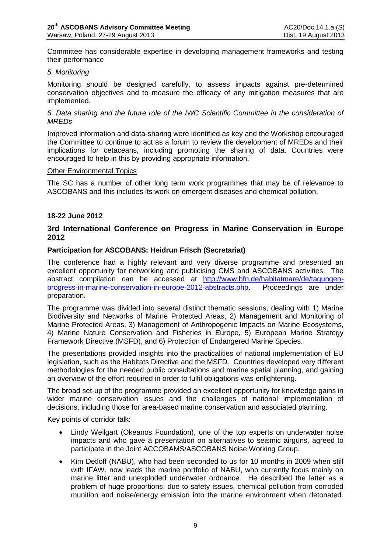Committee has considerable expertise in developing management frameworks and testing their performance

### *5. Monitoring*

Monitoring should be designed carefully, to assess impacts against pre-determined conservation objectives and to measure the efficacy of any mitigation measures that are implemented.

### *6. Data sharing and the future role of the IWC Scientific Committee in the consideration of MREDs*

Improved information and data-sharing were identified as key and the Workshop encouraged the Committee to continue to act as a forum to review the development of MREDs and their implications for cetaceans, including promoting the sharing of data. Countries were encouraged to help in this by providing appropriate information."

#### Other Environmental Topics

The SC has a number of other long term work programmes that may be of relevance to ASCOBANS and this includes its work on emergent diseases and chemical pollution.

### **18-22 June 2012**

## **3rd International Conference on Progress in Marine Conservation in Europe 2012**

### **Participation for ASCOBANS: Heidrun Frisch (Secretariat)**

The conference had a highly relevant and very diverse programme and presented an excellent opportunity for networking and publicising CMS and ASCOBANS activities. The abstract compilation can be accessed at [http://www.bfn.de/habitatmare/de/tagungen](http://www.bfn.de/habitatmare/de/tagungen-progress-in-marine-conservation-in-europe-2012-abstracts.php)[progress-in-marine-conservation-in-europe-2012-abstracts.php.](http://www.bfn.de/habitatmare/de/tagungen-progress-in-marine-conservation-in-europe-2012-abstracts.php) Proceedings are under preparation.

The programme was divided into several distinct thematic sessions, dealing with 1) Marine Biodiversity and Networks of Marine Protected Areas, 2) Management and Monitoring of Marine Protected Areas, 3) Management of Anthropogenic Impacts on Marine Ecosystems, 4) Marine Nature Conservation and Fisheries in Europe, 5) European Marine Strategy Framework Directive (MSFD), and 6) Protection of Endangered Marine Species.

The presentations provided insights into the practicalities of national implementation of EU legislation, such as the Habitats Directive and the MSFD. Countries developed very different methodologies for the needed public consultations and marine spatial planning, and gaining an overview of the effort required in order to fulfil obligations was enlightening.

The broad set-up of the programme provided an excellent opportunity for knowledge gains in wider marine conservation issues and the challenges of national implementation of decisions, including those for area-based marine conservation and associated planning.

Key points of corridor talk:

- Lindy Weilgart (Okeanos Foundation), one of the top experts on underwater noise impacts and who gave a presentation on alternatives to seismic airguns, agreed to participate in the Joint ACCOBAMS/ASCOBANS Noise Working Group.
- Kim Detloff (NABU), who had been seconded to us for 10 months in 2009 when still with IFAW, now leads the marine portfolio of NABU, who currently focus mainly on marine litter and unexploded underwater ordnance. He described the latter as a problem of huge proportions, due to safety issues, chemical pollution from corroded munition and noise/energy emission into the marine environment when detonated.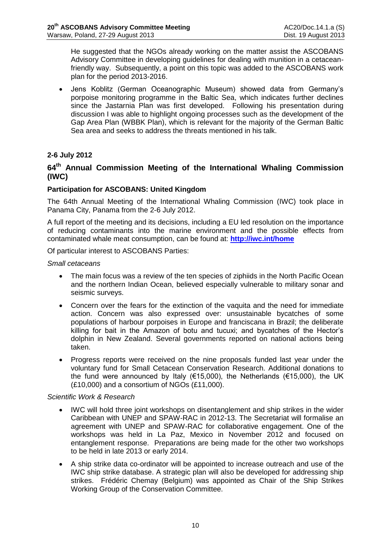He suggested that the NGOs already working on the matter assist the ASCOBANS Advisory Committee in developing guidelines for dealing with munition in a cetaceanfriendly way. Subsequently, a point on this topic was added to the ASCOBANS work plan for the period 2013-2016.

 Jens Koblitz (German Oceanographic Museum) showed data from Germany's porpoise monitoring programme in the Baltic Sea, which indicates further declines since the Jastarnia Plan was first developed. Following his presentation during discussion I was able to highlight ongoing processes such as the development of the Gap Area Plan (WBBK Plan), which is relevant for the majority of the German Baltic Sea area and seeks to address the threats mentioned in his talk.

## **2-6 July 2012**

## **64 th Annual Commission Meeting of the International Whaling Commission (IWC)**

### **Participation for ASCOBANS: United Kingdom**

The 64th Annual Meeting of the International Whaling Commission (IWC) took place in Panama City, Panama from the 2-6 July 2012.

A full report of the meeting and its decisions, including a EU led resolution on the importance of reducing contaminants into the marine environment and the possible effects from contaminated whale meat consumption, can be found at: **<http://iwc.int/home>**

Of particular interest to ASCOBANS Parties:

### *Small cetaceans*

- The main focus was a review of the ten species of ziphiids in the North Pacific Ocean and the northern Indian Ocean, believed especially vulnerable to military sonar and seismic surveys.
- Concern over the fears for the extinction of the vaquita and the need for immediate action. Concern was also expressed over: unsustainable bycatches of some populations of harbour porpoises in Europe and franciscana in Brazil; the deliberate killing for bait in the Amazon of botu and tucuxi; and bycatches of the Hector's dolphin in New Zealand. Several governments reported on national actions being taken.
- Progress reports were received on the nine proposals funded last year under the voluntary fund for Small Cetacean Conservation Research. Additional donations to the fund were announced by Italy ( $€15,000$ ), the Netherlands ( $€15,000$ ), the UK (£10,000) and a consortium of NGOs (£11,000).

### *Scientific Work & Research*

- IWC will hold three joint workshops on disentanglement and ship strikes in the wider Caribbean with UNEP and SPAW-RAC in 2012-13. The Secretariat will formalise an agreement with UNEP and SPAW-RAC for collaborative engagement. One of the workshops was held in La Paz, Mexico in November 2012 and focused on entanglement response. Preparations are being made for the other two workshops to be held in late 2013 or early 2014.
- A ship strike data co-ordinator will be appointed to increase outreach and use of the IWC ship strike database. A strategic plan will also be developed for addressing ship strikes. Frédéric Chemay (Belgium) was appointed as Chair of the Ship Strikes Working Group of the Conservation Committee.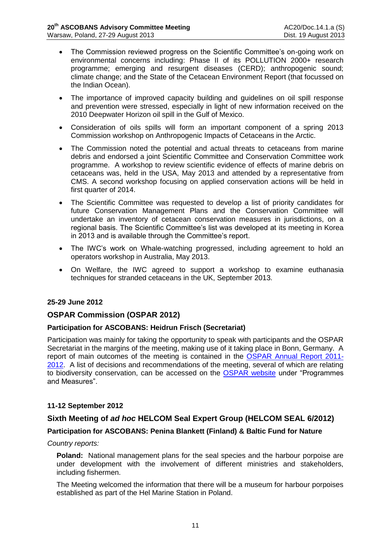- The Commission reviewed progress on the Scientific Committee's on-going work on environmental concerns including: Phase II of its POLLUTION 2000+ research programme; emerging and resurgent diseases (CERD); anthropogenic sound; climate change; and the State of the Cetacean Environment Report (that focussed on the Indian Ocean).
- The importance of improved capacity building and guidelines on oil spill response and prevention were stressed, especially in light of new information received on the 2010 Deepwater Horizon oil spill in the Gulf of Mexico.
- Consideration of oils spills will form an important component of a spring 2013 Commission workshop on Anthropogenic Impacts of Cetaceans in the Arctic.
- The Commission noted the potential and actual threats to cetaceans from marine debris and endorsed a joint Scientific Committee and Conservation Committee work programme. A workshop to review scientific evidence of effects of marine debris on cetaceans was, held in the USA, May 2013 and attended by a representative from CMS. A second workshop focusing on applied conservation actions will be held in first quarter of 2014.
- The Scientific Committee was requested to develop a list of priority candidates for future Conservation Management Plans and the Conservation Committee will undertake an inventory of cetacean conservation measures in jurisdictions, on a regional basis. The Scientific Committee's list was developed at its meeting in Korea in 2013 and is available through the Committee's report.
- The IWC's work on Whale-watching progressed, including agreement to hold an operators workshop in Australia, May 2013.
- On Welfare, the IWC agreed to support a workshop to examine euthanasia techniques for stranded cetaceans in the UK, September 2013.

### **25-29 June 2012**

## **OSPAR Commission (OSPAR 2012)**

### **Participation for ASCOBANS: Heidrun Frisch (Secretariat)**

Participation was mainly for taking the opportunity to speak with participants and the OSPAR Secretariat in the margins of the meeting, making use of it taking place in Bonn, Germany. A report of main outcomes of the meeting is contained in the [OSPAR Annual Report 2011-](http://www.ospar.org/documents/dbase/publications/p00579_annual%20report%202011_12.pdf) [2012.](http://www.ospar.org/documents/dbase/publications/p00579_annual%20report%202011_12.pdf) A list of decisions and recommendations of the meeting, several of which are relating to biodiversity conservation, can be accessed on the [OSPAR website](http://www.ospar.org/v_measures/browse.asp?menu=00510416000000_000000_000000) under "Programmes and Measures".

### **11-12 September 2012**

### **Sixth Meeting of** *ad hoc* **HELCOM Seal Expert Group (HELCOM SEAL 6/2012)**

### **Participation for ASCOBANS: Penina Blankett (Finland) & Baltic Fund for Nature**

#### *Country reports:*

**Poland:** National management plans for the seal species and the harbour porpoise are under development with the involvement of different ministries and stakeholders, including fishermen.

The Meeting welcomed the information that there will be a museum for harbour porpoises established as part of the Hel Marine Station in Poland.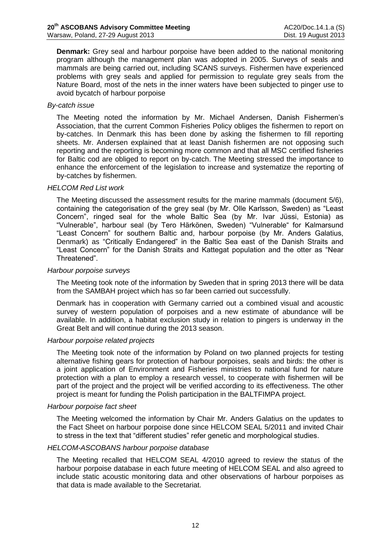**Denmark:** Grey seal and harbour porpoise have been added to the national monitoring program although the management plan was adopted in 2005. Surveys of seals and mammals are being carried out, including SCANS surveys. Fishermen have experienced problems with grey seals and applied for permission to regulate grey seals from the Nature Board, most of the nets in the inner waters have been subjected to pinger use to avoid bycatch of harbour porpoise

### *By-catch issue*

The Meeting noted the information by Mr. Michael Andersen, Danish Fishermen's Association, that the current Common Fisheries Policy obliges the fishermen to report on by-catches. In Denmark this has been done by asking the fishermen to fill reporting sheets. Mr. Andersen explained that at least Danish fishermen are not opposing such reporting and the reporting is becoming more common and that all MSC certified fisheries for Baltic cod are obliged to report on by-catch. The Meeting stressed the importance to enhance the enforcement of the legislation to increase and systematize the reporting of by-catches by fishermen.

### *HELCOM Red List work*

The Meeting discussed the assessment results for the marine mammals (document 5/6), containing the categorisation of the grey seal (by Mr. Olle Karlsson, Sweden) as "Least Concern", ringed seal for the whole Baltic Sea (by Mr. Ivar Jüssi, Estonia) as "Vulnerable", harbour seal (by Tero Härkönen, Sweden) "Vulnerable" for Kalmarsund "Least Concern" for southern Baltic and, harbour porpoise (by Mr. Anders Galatius, Denmark) as "Critically Endangered" in the Baltic Sea east of the Danish Straits and "Least Concern" for the Danish Straits and Kattegat population and the otter as "Near Threatened".

### *Harbour porpoise surveys*

The Meeting took note of the information by Sweden that in spring 2013 there will be data from the SAMBAH project which has so far been carried out successfully.

Denmark has in cooperation with Germany carried out a combined visual and acoustic survey of western population of porpoises and a new estimate of abundance will be available. In addition, a habitat exclusion study in relation to pingers is underway in the Great Belt and will continue during the 2013 season.

### *Harbour porpoise related projects*

The Meeting took note of the information by Poland on two planned projects for testing alternative fishing gears for protection of harbour porpoises, seals and birds: the other is a joint application of Environment and Fisheries ministries to national fund for nature protection with a plan to employ a research vessel, to cooperate with fishermen will be part of the project and the project will be verified according to its effectiveness. The other project is meant for funding the Polish participation in the BALTFIMPA project.

#### *Harbour porpoise fact sheet*

The Meeting welcomed the information by Chair Mr. Anders Galatius on the updates to the Fact Sheet on harbour porpoise done since HELCOM SEAL 5/2011 and invited Chair to stress in the text that "different studies" refer genetic and morphological studies.

#### *HELCOM-ASCOBANS harbour porpoise database*

The Meeting recalled that HELCOM SEAL 4/2010 agreed to review the status of the harbour porpoise database in each future meeting of HELCOM SEAL and also agreed to include static acoustic monitoring data and other observations of harbour porpoises as that data is made available to the Secretariat.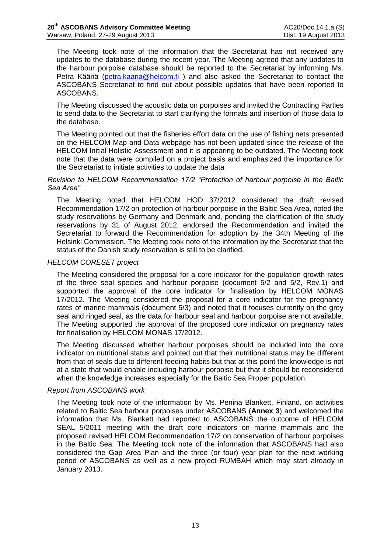The Meeting took note of the information that the Secretariat has not received any updates to the database during the recent year. The Meeting agreed that any updates to the harbour porpoise database should be reported to the Secretariat by informing Ms. Petra Kääriä [\(petra.kaaria@helcom.fi](mailto:petra.kaaria@helcom.fi)) and also asked the Secretariat to contact the ASCOBANS Secretariat to find out about possible updates that have been reported to ASCOBANS.

The Meeting discussed the acoustic data on porpoises and invited the Contracting Parties to send data to the Secretariat to start clarifying the formats and insertion of those data to the database.

The Meeting pointed out that the fisheries effort data on the use of fishing nets presented on the HELCOM Map and Data webpage has not been updated since the release of the HELCOM Initial Holistic Assessment and it is appearing to be outdated. The Meeting took note that the data were compiled on a project basis and emphasized the importance for the Secretariat to initiate activities to update the data

### *Revision to HELCOM Recommendation 17/2 "Protection of harbour porpoise in the Baltic Sea Area"*

The Meeting noted that HELCOM HOD 37/2012 considered the draft revised Recommendation 17/2 on protection of harbour porpoise in the Baltic Sea Area, noted the study reservations by Germany and Denmark and, pending the clarification of the study reservations by 31 of August 2012, endorsed the Recommendation and invited the Secretariat to forward the Recommendation for adoption by the 34th Meeting of the Helsinki Commission. The Meeting took note of the information by the Secretariat that the status of the Danish study reservation is still to be clarified.

### *HELCOM CORESET project*

The Meeting considered the proposal for a core indicator for the population growth rates of the three seal species and harbour porpoise (document 5/2 and 5/2, Rev.1) and supported the approval of the core indicator for finalisation by HELCOM MONAS 17/2012. The Meeting considered the proposal for a core indicator for the pregnancy rates of marine mammals (document 5/3) and noted that it focuses currently on the grey seal and ringed seal, as the data for harbour seal and harbour porpoise are not available. The Meeting supported the approval of the proposed core indicator on pregnancy rates for finalisation by HELCOM MONAS 17/2012.

The Meeting discussed whether harbour porpoises should be included into the core indicator on nutritional status and pointed out that their nutritional status may be different from that of seals due to different feeding habits but that at this point the knowledge is not at a state that would enable including harbour porpoise but that it should be reconsidered when the knowledge increases especially for the Baltic Sea Proper population.

#### *Report from ASCOBANS work*

The Meeting took note of the information by Ms. Penina Blankett, Finland, on activities related to Baltic Sea harbour porpoises under ASCOBANS (**Annex 3**) and welcomed the information that Ms. Blankett had reported to ASCOBANS the outcome of HELCOM SEAL 5/2011 meeting with the draft core indicators on marine mammals and the proposed revised HELCOM Recommendation 17/2 on conservation of harbour porpoises in the Baltic Sea. The Meeting took note of the information that ASCOBANS had also considered the Gap Area Plan and the three (or four) year plan for the next working period of ASCOBANS as well as a new project RUMBAH which may start already in January 2013.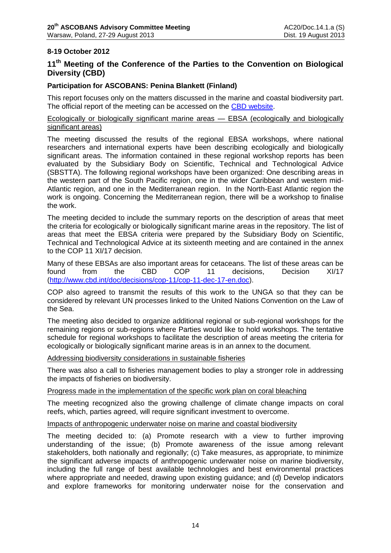## **8-19 October 2012**

## **11th Meeting of the Conference of the Parties to the Convention on Biological Diversity (CBD)**

### **Participation for ASCOBANS: Penina Blankett (Finland)**

This report focuses only on the matters discussed in the marine and coastal biodiversity part. The official report of the meeting can be accessed on the [CBD website.](http://www.cbd.int/doc/meetings/cop/cop-11/official/cop-11-35-en.pdf)

Ecologically or biologically significant marine areas — EBSA (ecologically and biologically significant areas)

The meeting discussed the results of the regional EBSA workshops, where national researchers and international experts have been describing ecologically and biologically significant areas. The information contained in these regional workshop reports has been evaluated by the Subsidiary Body on Scientific, Technical and Technological Advice (SBSTTA). The following regional workshops have been organized: One describing areas in the western part of the South Pacific region, one in the wider Caribbean and western mid-Atlantic region, and one in the Mediterranean region. In the North-East Atlantic region the work is ongoing. Concerning the Mediterranean region, there will be a workshop to finalise the work.

The meeting decided to include the summary reports on the description of areas that meet the criteria for ecologically or biologically significant marine areas in the repository. The list of areas that meet the EBSA criteria were prepared by the Subsidiary Body on Scientific, Technical and Technological Advice at its sixteenth meeting and are contained in the annex to the COP 11 XI/17 decision.

Many of these EBSAs are also important areas for cetaceans. The list of these areas can be<br>found from the CBD COP 11 decisions. Decision XI/17 found from the CBD COP 11 decisions, Decision XI/17 [\(http://www.cbd.int/doc/decisions/cop-11/cop-11-dec-17-en.doc\)](http://www.cbd.int/doc/decisions/cop-11/cop-11-dec-17-en.doc).

COP also agreed to transmit the results of this work to the UNGA so that they can be considered by relevant UN processes linked to the United Nations Convention on the Law of the Sea.

The meeting also decided to organize additional regional or sub-regional workshops for the remaining regions or sub-regions where Parties would like to hold workshops. The tentative schedule for regional workshops to facilitate the description of areas meeting the criteria for ecologically or biologically significant marine areas is in an annex to the document.

Addressing biodiversity considerations in sustainable fisheries

There was also a call to fisheries management bodies to play a stronger role in addressing the impacts of fisheries on biodiversity.

#### Progress made in the implementation of the specific work plan on coral bleaching

The meeting recognized also the growing challenge of climate change impacts on coral reefs, which, parties agreed, will require significant investment to overcome.

#### Impacts of anthropogenic underwater noise on marine and coastal biodiversity

The meeting decided to: (a) Promote research with a view to further improving understanding of the issue; (b) Promote awareness of the issue among relevant stakeholders, both nationally and regionally; (c) Take measures, as appropriate, to minimize the significant adverse impacts of anthropogenic underwater noise on marine biodiversity, including the full range of best available technologies and best environmental practices where appropriate and needed, drawing upon existing guidance; and (d) Develop indicators and explore frameworks for monitoring underwater noise for the conservation and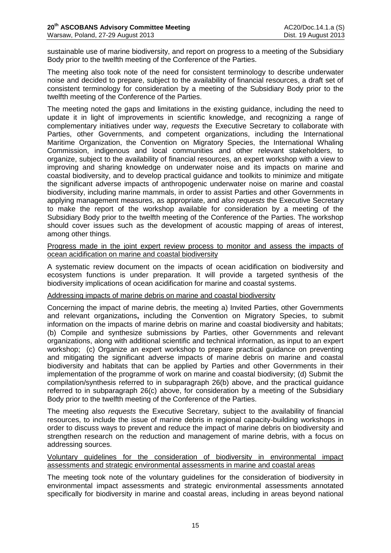sustainable use of marine biodiversity, and report on progress to a meeting of the Subsidiary Body prior to the twelfth meeting of the Conference of the Parties.

The meeting also took note of the need for consistent terminology to describe underwater noise and decided to prepare, subject to the availability of financial resources, a draft set of consistent terminology for consideration by a meeting of the Subsidiary Body prior to the twelfth meeting of the Conference of the Parties.

The meeting noted the gaps and limitations in the existing guidance, including the need to update it in light of improvements in scientific knowledge, and recognizing a range of complementary initiatives under way, *requests* the Executive Secretary to collaborate with Parties, other Governments, and competent organizations, including the International Maritime Organization, the Convention on Migratory Species, the International Whaling Commission, indigenous and local communities and other relevant stakeholders, to organize, subject to the availability of financial resources, an expert workshop with a view to improving and sharing knowledge on underwater noise and its impacts on marine and coastal biodiversity, and to develop practical guidance and toolkits to minimize and mitigate the significant adverse impacts of anthropogenic underwater noise on marine and coastal biodiversity, including marine mammals, in order to assist Parties and other Governments in applying management measures, as appropriate, and *also requests* the Executive Secretary to make the report of the workshop available for consideration by a meeting of the Subsidiary Body prior to the twelfth meeting of the Conference of the Parties. The workshop should cover issues such as the development of acoustic mapping of areas of interest, among other things.

#### Progress made in the joint expert review process to monitor and assess the impacts of ocean acidification on marine and coastal biodiversity

A systematic review document on the impacts of ocean acidification on biodiversity and ecosystem functions is under preparation. It will provide a targeted synthesis of the biodiversity implications of ocean acidification for marine and coastal systems.

### Addressing impacts of marine debris on marine and coastal biodiversity

Concerning the impact of marine debris, the meeting a) Invited Parties, other Governments and relevant organizations**,** including the Convention on Migratory Species, to submit information on the impacts of marine debris on marine and coastal biodiversity and habitats; (b) Compile and synthesize submissions by Parties, other Governments and relevant organizations, along with additional scientific and technical information, as input to an expert workshop; (c) Organize an expert workshop to prepare practical guidance on preventing and mitigating the significant adverse impacts of marine debris on marine and coastal biodiversity and habitats that can be applied by Parties and other Governments in their implementation of the programme of work on marine and coastal biodiversity; (d) Submit the compilation/synthesis referred to in subparagraph 26(b) above, and the practical guidance referred to in subparagraph 26(c) above, for consideration by a meeting of the Subsidiary Body prior to the twelfth meeting of the Conference of the Parties.

The meeting also *requests* the Executive Secretary, subject to the availability of financial resources, to include the issue of marine debris in regional capacity-building workshops in order to discuss ways to prevent and reduce the impact of marine debris on biodiversity and strengthen research on the reduction and management of marine debris, with a focus on addressing sources.

### Voluntary guidelines for the consideration of biodiversity in environmental impact assessments and strategic environmental assessments in marine and coastal areas

The meeting took note of the voluntary guidelines for the consideration of biodiversity in environmental impact assessments and strategic environmental assessments annotated specifically for biodiversity in marine and coastal areas, including in areas beyond national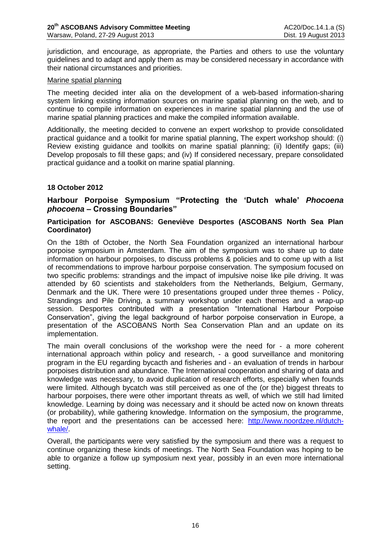jurisdiction, and encourage, as appropriate, the Parties and others to use the voluntary guidelines and to adapt and apply them as may be considered necessary in accordance with their national circumstances and priorities.

#### Marine spatial planning

The meeting decided inter alia on the development of a web-based information-sharing system linking existing information sources on marine spatial planning on the web, and to continue to compile information on experiences in marine spatial planning and the use of marine spatial planning practices and make the compiled information available.

Additionally, the meeting decided to convene an expert workshop to provide consolidated practical guidance and a toolkit for marine spatial planning, The expert workshop should: (i) Review existing guidance and toolkits on marine spatial planning; (ii) Identify gaps; (iii) Develop proposals to fill these gaps; and (iv) If considered necessary, prepare consolidated practical guidance and a toolkit on marine spatial planning.

## **18 October 2012**

**Harbour Porpoise Symposium "Protecting the 'Dutch whale'** *Phocoena phocoena* **– Crossing Boundaries"**

### **Participation for ASCOBANS: Geneviève Desportes (ASCOBANS North Sea Plan Coordinator)**

On the 18th of October, the North Sea Foundation organized an international harbour porpoise symposium in Amsterdam. The aim of the symposium was to share up to date information on harbour porpoises, to discuss problems & policies and to come up with a list of recommendations to improve harbour porpoise conservation. The symposium focused on two specific problems: strandings and the impact of impulsive noise like pile driving. It was attended by 60 scientists and stakeholders from the Netherlands, Belgium, Germany, Denmark and the UK. There were 10 presentations grouped under three themes - Policy, Strandings and Pile Driving, a summary workshop under each themes and a wrap-up session. Desportes contributed with a presentation "International Harbour Porpoise Conservation", giving the legal background of harbor porpoise conservation in Europe, a presentation of the ASCOBANS North Sea Conservation Plan and an update on its implementation.

The main overall conclusions of the workshop were the need for - a more coherent international approach within policy and research, - a good surveillance and monitoring program in the EU regarding bycacth and fisheries and - an evaluation of trends in harbour porpoises distribution and abundance. The International cooperation and sharing of data and knowledge was necessary, to avoid duplication of research efforts, especially when founds were limited. Although bycatch was still perceived as one of the (or the) biggest threats to harbour porpoises, there were other important threats as well, of which we still had limited knowledge. Learning by doing was necessary and it should be acted now on known threats (or probability), while gathering knowledge. Information on the symposium, the programme, the report and the presentations can be accessed here: [http://www.noordzee.nl/dutch](http://www.noordzee.nl/dutch-whale/)[whale/.](http://www.noordzee.nl/dutch-whale/)

Overall, the participants were very satisfied by the symposium and there was a request to continue organizing these kinds of meetings. The North Sea Foundation was hoping to be able to organize a follow up symposium next year, possibly in an even more international setting.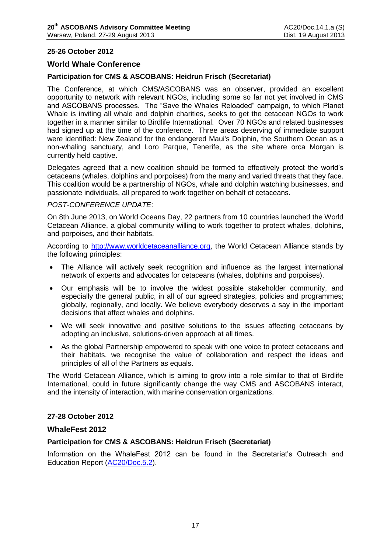### **25-26 October 2012**

### **World Whale Conference**

### **Participation for CMS & ASCOBANS: Heidrun Frisch (Secretariat)**

The Conference, at which CMS/ASCOBANS was an observer, provided an excellent opportunity to network with relevant NGOs, including some so far not yet involved in CMS and ASCOBANS processes. The "Save the Whales Reloaded" campaign, to which Planet Whale is inviting all whale and dolphin charities, seeks to get the cetacean NGOs to work together in a manner similar to Birdlife International. Over 70 NGOs and related businesses had signed up at the time of the conference. Three areas deserving of immediate support were identified: New Zealand for the endangered Maui's Dolphin, the Southern Ocean as a non-whaling sanctuary, and Loro Parque, Tenerife, as the site where orca Morgan is currently held captive.

Delegates agreed that a new coalition should be formed to effectively protect the world's cetaceans (whales, dolphins and porpoises) from the many and varied threats that they face. This coalition would be a partnership of NGOs, whale and dolphin watching businesses, and passionate individuals, all prepared to work together on behalf of cetaceans.

### *POST-CONFERENCE UPDATE*:

On 8th June 2013, on World Oceans Day, 22 partners from 10 countries launched the World Cetacean Alliance, a global community willing to work together to protect whales, dolphins, and porpoises, and their habitats.

According to [http://www.worldcetaceanalliance.org,](http://www.worldcetaceanalliance.org/) the World Cetacean Alliance stands by the following principles:

- The Alliance will actively seek recognition and influence as the largest international network of experts and advocates for cetaceans (whales, dolphins and porpoises).
- Our emphasis will be to involve the widest possible stakeholder community, and especially the general public, in all of our agreed strategies, policies and programmes; globally, regionally, and locally. We believe everybody deserves a say in the important decisions that affect whales and dolphins.
- We will seek innovative and positive solutions to the issues affecting cetaceans by adopting an inclusive, solutions-driven approach at all times.
- As the global Partnership empowered to speak with one voice to protect cetaceans and their habitats, we recognise the value of collaboration and respect the ideas and principles of all of the Partners as equals.

The World Cetacean Alliance, which is aiming to grow into a role similar to that of Birdlife International, could in future significantly change the way CMS and ASCOBANS interact, and the intensity of interaction, with marine conservation organizations.

#### **27-28 October 2012**

### **WhaleFest 2012**

### **Participation for CMS & ASCOBANS: Heidrun Frisch (Secretariat)**

Information on the WhaleFest 2012 can be found in the Secretariat's Outreach and Education Report [\(AC20/Doc.5.2\)](http://www.ascobans.org/pdf/ac20/AC20_5.2_OutreachReport.pdf).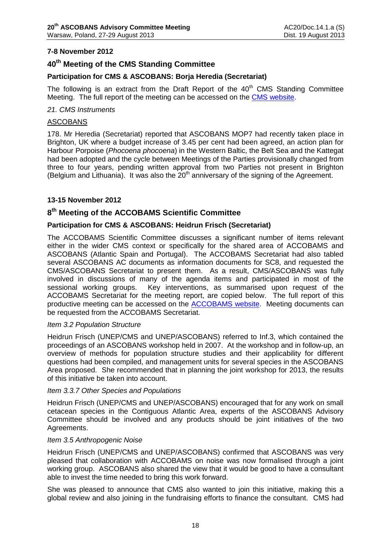## **7-8 November 2012**

## **40th Meeting of the CMS Standing Committee**

### **Participation for CMS & ASCOBANS: Borja Heredia (Secretariat)**

The following is an extract from the Draft Report of the  $40<sup>th</sup>$  CMS Standing Committee Meeting. The full report of the meeting can be accessed on the [CMS website.](http://www.cms.int/bodies/StC/40th_stc_meeting/draft_report_e.pdf)

#### *21. CMS Instruments*

#### ASCOBANS

178. Mr Heredia (Secretariat) reported that ASCOBANS MOP7 had recently taken place in Brighton, UK where a budget increase of 3.45 per cent had been agreed, an action plan for Harbour Porpoise (*Phocoena phocoena*) in the Western Baltic, the Belt Sea and the Kattegat had been adopted and the cycle between Meetings of the Parties provisionally changed from three to four years, pending written approval from two Parties not present in Brighton (Belgium and Lithuania). It was also the  $20<sup>th</sup>$  anniversary of the signing of the Agreement.

### **13-15 November 2012**

## **8 th Meeting of the ACCOBAMS Scientific Committee**

### **Participation for CMS & ASCOBANS: Heidrun Frisch (Secretariat)**

The ACCOBAMS Scientific Committee discusses a significant number of items relevant either in the wider CMS context or specifically for the shared area of ACCOBAMS and ASCOBANS (Atlantic Spain and Portugal). The ACCOBAMS Secretariat had also tabled several ASCOBANS AC documents as information documents for SC8, and requested the CMS/ASCOBANS Secretariat to present them. As a result, CMS/ASCOBANS was fully involved in discussions of many of the agenda items and participated in most of the sessional working groups. Key interventions, as summarised upon request of the ACCOBAMS Secretariat for the meeting report, are copied below. The full report of this productive meeting can be accessed on the [ACCOBAMS website.](http://www.accobams.org/images/stories/SC/SC8/sc8_doc23_report%20of%20the%20eighth%20meeting%20of%20the%20scientific%20committee.pdf) Meeting documents can be requested from the ACCOBAMS Secretariat.

#### *Item 3.2 Population Structure*

Heidrun Frisch (UNEP/CMS and UNEP/ASCOBANS) referred to Inf.3, which contained the proceedings of an ASCOBANS workshop held in 2007. At the workshop and in follow-up, an overview of methods for population structure studies and their applicability for different questions had been compiled, and management units for several species in the ASCOBANS Area proposed. She recommended that in planning the joint workshop for 2013, the results of this initiative be taken into account.

#### *Item 3.3.7 Other Species and Populations*

Heidrun Frisch (UNEP/CMS and UNEP/ASCOBANS) encouraged that for any work on small cetacean species in the Contiguous Atlantic Area, experts of the ASCOBANS Advisory Committee should be involved and any products should be joint initiatives of the two Agreements.

#### *Item 3.5 Anthropogenic Noise*

Heidrun Frisch (UNEP/CMS and UNEP/ASCOBANS) confirmed that ASCOBANS was very pleased that collaboration with ACCOBAMS on noise was now formalised through a joint working group. ASCOBANS also shared the view that it would be good to have a consultant able to invest the time needed to bring this work forward.

She was pleased to announce that CMS also wanted to join this initiative, making this a global review and also joining in the fundraising efforts to finance the consultant. CMS had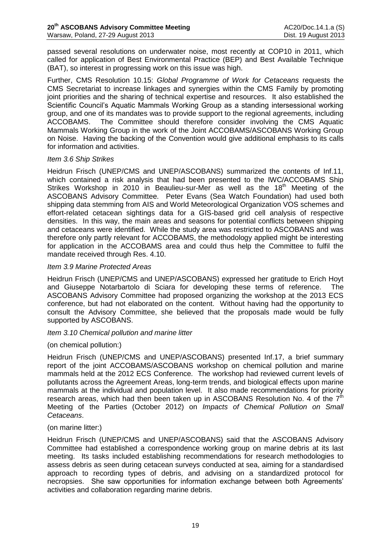passed several resolutions on underwater noise, most recently at COP10 in 2011, which called for application of Best Environmental Practice (BEP) and Best Available Technique (BAT), so interest in progressing work on this issue was high.

Further, CMS Resolution 10.15: *Global Programme of Work for Cetaceans* requests the CMS Secretariat to increase linkages and synergies within the CMS Family by promoting joint priorities and the sharing of technical expertise and resources. It also established the Scientific Council's Aquatic Mammals Working Group as a standing intersessional working group, and one of its mandates was to provide support to the regional agreements, including ACCOBAMS. The Committee should therefore consider involving the CMS Aquatic Mammals Working Group in the work of the Joint ACCOBAMS/ASCOBANS Working Group on Noise. Having the backing of the Convention would give additional emphasis to its calls for information and activities.

### *Item 3.6 Ship Strikes*

Heidrun Frisch (UNEP/CMS and UNEP/ASCOBANS) summarized the contents of Inf.11, which contained a risk analysis that had been presented to the IWC/ACCOBAMS Ship Strikes Workshop in 2010 in Beaulieu-sur-Mer as well as the 18<sup>th</sup> Meeting of the ASCOBANS Advisory Committee. Peter Evans (Sea Watch Foundation) had used both shipping data stemming from AIS and World Meteorological Organization VOS schemes and effort-related cetacean sightings data for a GIS-based grid cell analysis of respective densities. In this way, the main areas and seasons for potential conflicts between shipping and cetaceans were identified. While the study area was restricted to ASCOBANS and was therefore only partly relevant for ACCOBAMS, the methodology applied might be interesting for application in the ACCOBAMS area and could thus help the Committee to fulfil the mandate received through Res. 4.10.

### *Item 3.9 Marine Protected Areas*

Heidrun Frisch (UNEP/CMS and UNEP/ASCOBANS) expressed her gratitude to Erich Hoyt and Giuseppe Notarbartolo di Sciara for developing these terms of reference. The ASCOBANS Advisory Committee had proposed organizing the workshop at the 2013 ECS conference, but had not elaborated on the content. Without having had the opportunity to consult the Advisory Committee, she believed that the proposals made would be fully supported by ASCOBANS.

### *Item 3.10 Chemical pollution and marine litter*

### (on chemical pollution:)

Heidrun Frisch (UNEP/CMS and UNEP/ASCOBANS) presented Inf.17, a brief summary report of the joint ACCOBAMS/ASCOBANS workshop on chemical pollution and marine mammals held at the 2012 ECS Conference. The workshop had reviewed current levels of pollutants across the Agreement Areas, long-term trends, and biological effects upon marine mammals at the individual and population level. It also made recommendations for priority research areas, which had then been taken up in ASCOBANS Resolution No. 4 of the  $7<sup>th</sup>$ Meeting of the Parties (October 2012) on *Impacts of Chemical Pollution on Small Cetaceans*.

### (on marine litter:)

Heidrun Frisch (UNEP/CMS and UNEP/ASCOBANS) said that the ASCOBANS Advisory Committee had established a correspondence working group on marine debris at its last meeting. Its tasks included establishing recommendations for research methodologies to assess debris as seen during cetacean surveys conducted at sea, aiming for a standardised approach to recording types of debris, and advising on a standardized protocol for necropsies. She saw opportunities for information exchange between both Agreements' activities and collaboration regarding marine debris.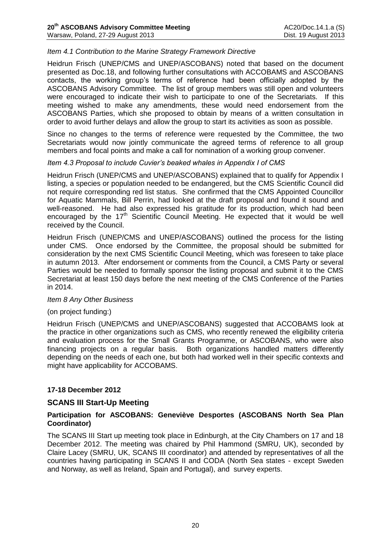### *Item 4.1 Contribution to the Marine Strategy Framework Directive*

Heidrun Frisch (UNEP/CMS and UNEP/ASCOBANS) noted that based on the document presented as Doc.18, and following further consultations with ACCOBAMS and ASCOBANS contacts, the working group's terms of reference had been officially adopted by the ASCOBANS Advisory Committee. The list of group members was still open and volunteers were encouraged to indicate their wish to participate to one of the Secretariats. If this meeting wished to make any amendments, these would need endorsement from the ASCOBANS Parties, which she proposed to obtain by means of a written consultation in order to avoid further delays and allow the group to start its activities as soon as possible.

Since no changes to the terms of reference were requested by the Committee, the two Secretariats would now jointly communicate the agreed terms of reference to all group members and focal points and make a call for nomination of a working group convener.

### *Item 4.3 Proposal to include Cuvier's beaked whales in Appendix I of CMS*

Heidrun Frisch (UNEP/CMS and UNEP/ASCOBANS) explained that to qualify for Appendix I listing, a species or population needed to be endangered, but the CMS Scientific Council did not require corresponding red list status. She confirmed that the CMS Appointed Councillor for Aquatic Mammals, Bill Perrin, had looked at the draft proposal and found it sound and well-reasoned. He had also expressed his gratitude for its production, which had been encouraged by the  $17<sup>th</sup>$  Scientific Council Meeting. He expected that it would be well received by the Council.

Heidrun Frisch (UNEP/CMS and UNEP/ASCOBANS) outlined the process for the listing under CMS. Once endorsed by the Committee, the proposal should be submitted for consideration by the next CMS Scientific Council Meeting, which was foreseen to take place in autumn 2013. After endorsement or comments from the Council, a CMS Party or several Parties would be needed to formally sponsor the listing proposal and submit it to the CMS Secretariat at least 150 days before the next meeting of the CMS Conference of the Parties in 2014.

#### *Item 8 Any Other Business*

### (on project funding:)

Heidrun Frisch (UNEP/CMS and UNEP/ASCOBANS) suggested that ACCOBAMS look at the practice in other organizations such as CMS, who recently renewed the eligibility criteria and evaluation process for the Small Grants Programme, or ASCOBANS, who were also financing projects on a regular basis. Both organizations handled matters differently depending on the needs of each one, but both had worked well in their specific contexts and might have applicability for ACCOBAMS.

### **17-18 December 2012**

### **SCANS III Start-Up Meeting**

### **Participation for ASCOBANS: Geneviève Desportes (ASCOBANS North Sea Plan Coordinator)**

The SCANS III Start up meeting took place in Edinburgh, at the City Chambers on 17 and 18 December 2012. The meeting was chaired by Phil Hammond (SMRU, UK), seconded by Claire Lacey (SMRU, UK, SCANS III coordinator) and attended by representatives of all the countries having participating in SCANS II and CODA (North Sea states - except Sweden and Norway, as well as Ireland, Spain and Portugal), and survey experts.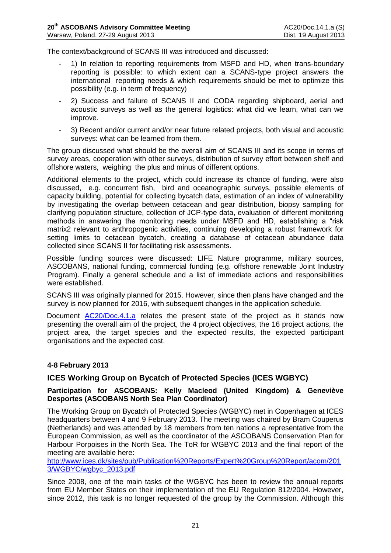The context/background of SCANS III was introduced and discussed:

- 1) In relation to reporting requirements from MSFD and HD, when trans-boundary reporting is possible: to which extent can a SCANS-type project answers the international reporting needs & which requirements should be met to optimize this possibility (e.g. in term of frequency)
- 2) Success and failure of SCANS II and CODA regarding shipboard, aerial and acoustic surveys as well as the general logistics: what did we learn, what can we improve.
- 3) Recent and/or current and/or near future related projects, both visual and acoustic surveys: what can be learned from them.

The group discussed what should be the overall aim of SCANS III and its scope in terms of survey areas, cooperation with other surveys, distribution of survey effort between shelf and offshore waters, weighing the plus and minus of different options.

Additional elements to the project, which could increase its chance of funding, were also discussed, e.g. concurrent fish, bird and oceanographic surveys, possible elements of capacity building, potential for collecting bycatch data, estimation of an index of vulnerability by investigating the overlap between cetacean and gear distribution, biopsy sampling for clarifying population structure, collection of JCP-type data, evaluation of different monitoring methods in answering the monitoring needs under MSFD and HD, establishing a "risk matrix2 relevant to anthropogenic activities, continuing developing a robust framework for setting limits to cetacean bycatch, creating a database of cetacean abundance data collected since SCANS II for facilitating risk assessments.

Possible funding sources were discussed: LIFE Nature programme, military sources, ASCOBANS, national funding, commercial funding (e.g. offshore renewable Joint Industry Program). Finally a general schedule and a list of immediate actions and responsibilities were established.

SCANS III was originally planned for 2015. However, since then plans have changed and the survey is now planned for 2016, with subsequent changes in the application schedule.

Document [AC20/Doc.4.1.a](http://www.ascobans.org/pdf/ac20/AC20_4.1.a_SCANSIII.pdf) relates the present state of the project as it stands now presenting the overall aim of the project, the 4 project objectives, the 16 project actions, the project area, the target species and the expected results, the expected participant organisations and the expected cost.

### **4-8 February 2013**

## **ICES Working Group on Bycatch of Protected Species (ICES WGBYC)**

### **Participation for ASCOBANS: Kelly Macleod (United Kingdom) & Geneviève Desportes (ASCOBANS North Sea Plan Coordinator)**

The Working Group on Bycatch of Protected Species (WGBYC) met in Copenhagen at ICES headquarters between 4 and 9 February 2013. The meeting was chaired by Bram Couperus (Netherlands) and was attended by 18 members from ten nations a representative from the European Commission, as well as the coordinator of the ASCOBANS Conservation Plan for Harbour Porpoises in the North Sea. The ToR for WGBYC 2013 and the final report of the meeting are available here:

[http://www.ices.dk/sites/pub/Publication%20Reports/Expert%20Group%20Report/acom/201](http://www.ices.dk/sites/pub/Publication%20Reports/Expert%20Group%20Report/acom/2013/WGBYC/wgbyc_2013.pdf) [3/WGBYC/wgbyc\\_2013.pdf](http://www.ices.dk/sites/pub/Publication%20Reports/Expert%20Group%20Report/acom/2013/WGBYC/wgbyc_2013.pdf)

Since 2008, one of the main tasks of the WGBYC has been to review the annual reports from EU Member States on their implementation of the EU Regulation 812/2004. However, since 2012, this task is no longer requested of the group by the Commission. Although this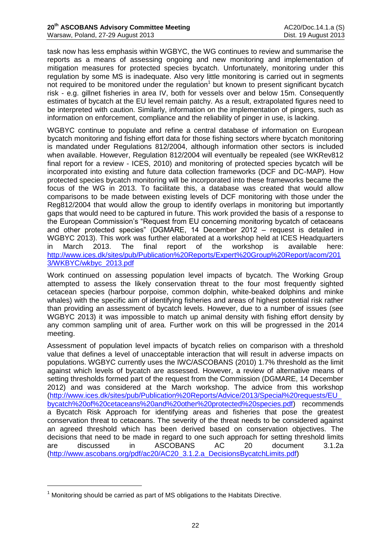task now has less emphasis within WGBYC, the WG continues to review and summarise the reports as a means of assessing ongoing and new monitoring and implementation of mitigation measures for protected species bycatch. Unfortunately, monitoring under this regulation by some MS is inadequate. Also very little monitoring is carried out in segments not required to be monitored under the regulation<sup>1</sup> but known to present significant bycatch risk - e.g. gillnet fisheries in area IV, both for vessels over and below 15m. Consequently estimates of bycatch at the EU level remain patchy. As a result, extrapolated figures need to be interpreted with caution. Similarly, information on the implementation of pingers, such as information on enforcement, compliance and the reliability of pinger in use, is lacking.

WGBYC continue to populate and refine a central database of information on European bycatch monitoring and fishing effort data for those fishing sectors where bycatch monitoring is mandated under Regulations 812/2004, although information other sectors is included when available. However, Regulation 812/2004 will eventually be repealed (see WKRev812 final report for a review - ICES, 2010) and monitoring of protected species bycatch will be incorporated into existing and future data collection frameworks (DCF and DC-MAP). How protected species bycatch monitoring will be incorporated into these frameworks became the focus of the WG in 2013. To facilitate this, a database was created that would allow comparisons to be made between existing levels of DCF monitoring with those under the Reg812/2004 that would allow the group to identify overlaps in monitoring but importantly gaps that would need to be captured in future. This work provided the basis of a response to the European Commission's "Request from EU concerning monitoring bycatch of cetaceans and other protected species" (DGMARE, 14 December 2012 – request is detailed in WGBYC 2013). This work was further elaborated at a workshop held at ICES Headquarters in March 2013. The final report of the workshop is available here: [http://www.ices.dk/sites/pub/Publication%20Reports/Expert%20Group%20Report/acom/201](http://www.ices.dk/sites/pub/Publication%20Reports/Expert%20Group%20Report/acom/2013/WKBYC/wkbyc_2013.pdf) [3/WKBYC/wkbyc\\_2013.pdf](http://www.ices.dk/sites/pub/Publication%20Reports/Expert%20Group%20Report/acom/2013/WKBYC/wkbyc_2013.pdf)

Work continued on assessing population level impacts of bycatch. The Working Group attempted to assess the likely conservation threat to the four most frequently sighted cetacean species (harbour porpoise, common dolphin, white-beaked dolphins and minke whales) with the specific aim of identifying fisheries and areas of highest potential risk rather than providing an assessment of bycatch levels. However, due to a number of issues (see WGBYC 2013) it was impossible to match up animal density with fishing effort density by any common sampling unit of area. Further work on this will be progressed in the 2014 meeting.

Assessment of population level impacts of bycatch relies on comparison with a threshold value that defines a level of unacceptable interaction that will result in adverse impacts on populations. WGBYC currently uses the IWC/ASCOBANS (2010) 1.7% threshold as the limit against which levels of bycatch are assessed. However, a review of alternative means of setting thresholds formed part of the request from the Commission (DGMARE, 14 December 2012) and was considered at the March workshop. The advice from this workshop [\(http://www.ices.dk/sites/pub/Publication%20Reports/Advice/2013/Special%20requests/EU\\_](http://www.ices.dk/sites/pub/Publication%20Reports/Advice/2013/Special%20requests/EU_bycatch%20of%20cetaceans%20and%20other%20protected%20species.pdf) [bycatch%20of%20cetaceans%20and%20other%20protected%20species.pdf\)](http://www.ices.dk/sites/pub/Publication%20Reports/Advice/2013/Special%20requests/EU_bycatch%20of%20cetaceans%20and%20other%20protected%20species.pdf) recommends a Bycatch Risk Approach for identifying areas and fisheries that pose the greatest conservation threat to cetaceans. The severity of the threat needs to be considered against an agreed threshold which has been derived based on conservation objectives. The decisions that need to be made in regard to one such approach for setting threshold limits are discussed in ASCOBANS AC 20 document 3.1.2a [\(http://www.ascobans.org/pdf/ac20/AC20\\_3.1.2.a\\_DecisionsBycatchLimits.pdf\)](http://www.ascobans.org/pdf/ac20/AC20_3.1.2.a_DecisionsBycatchLimits.pdf)

<u>.</u>

 $1$  Monitoring should be carried as part of MS obligations to the Habitats Directive.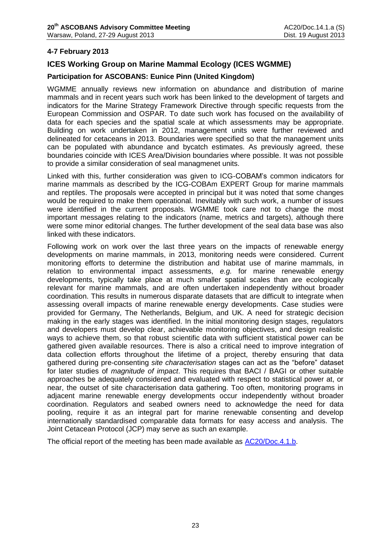### **4-7 February 2013**

## **ICES Working Group on Marine Mammal Ecology (ICES WGMME)**

### **Participation for ASCOBANS: Eunice Pinn (United Kingdom)**

WGMME annually reviews new information on abundance and distribution of marine mammals and in recent years such work has been linked to the development of targets and indicators for the Marine Strategy Framework Directive through specific requests from the European Commission and OSPAR. To date such work has focused on the availability of data for each species and the spatial scale at which assessments may be appropriate. Building on work undertaken in 2012, management units were further reviewed and delineated for cetaceans in 2013. Boundaries were specified so that the management units can be populated with abundance and bycatch estimates. As previously agreed, these boundaries coincide with ICES Area/Division boundaries where possible. It was not possible to provide a similar consideration of seal managmenet units.

Linked with this, further consideration was given to ICG-COBAM's common indicators for marine mammals as described by the ICG-COBAm EXPERT Group for marine mammals and reptiles. The proposals were accepted in principal but it was noted that some changes would be required to make them operational. Inevitably with such work, a number of issues were identified in the current proposals. WGMME took care not to change the most important messages relating to the indicators (name, metrics and targets), although there were some minor editorial changes. The further development of the seal data base was also linked with these indicators.

Following work on work over the last three years on the impacts of renewable energy developments on marine mammals, in 2013, monitoring needs were considered. Current monitoring efforts to determine the distribution and habitat use of marine mammals, in relation to environmental impact assessments, *e.g.* for marine renewable energy developments, typically take place at much smaller spatial scales than are ecologically relevant for marine mammals, and are often undertaken independently without broader coordination. This results in numerous disparate datasets that are difficult to integrate when assessing overall impacts of marine renewable energy developments. Case studies were provided for Germany, The Netherlands, Belgium, and UK. A need for strategic decision making in the early stages was identified. In the initial monitoring design stages, regulators and developers must develop clear, achievable monitoring objectives, and design realistic ways to achieve them, so that robust scientific data with sufficient statistical power can be gathered given available resources. There is also a critical need to improve integration of data collection efforts throughout the lifetime of a project, thereby ensuring that data gathered during pre-consenting *site characterisation* stages can act as the "before" dataset for later studies of *magnitude of impact*. This requires that BACI / BAGI or other suitable approaches be adequately considered and evaluated with respect to statistical power at, or near, the outset of site characterisation data gathering. Too often, monitoring programs in adjacent marine renewable energy developments occur independently without broader coordination. Regulators and seabed owners need to acknowledge the need for data pooling, require it as an integral part for marine renewable consenting and develop internationally standardised comparable data formats for easy access and analysis. The Joint Cetacean Protocol (JCP) may serve as such an example.

The official report of the meeting has been made available as **AC20/Doc.4.1.b.**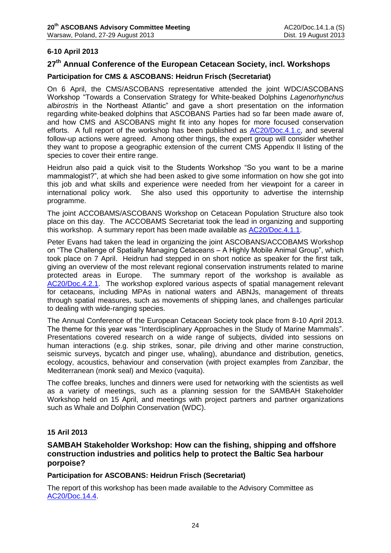## **6-10 April 2013**

## **27th Annual Conference of the European Cetacean Society, incl. Workshops**

### **Participation for CMS & ASCOBANS: Heidrun Frisch (Secretariat)**

On 6 April, the CMS/ASCOBANS representative attended the joint WDC/ASCOBANS Workshop "Towards a Conservation Strategy for White-beaked Dolphins *Lagenorhynchus albirostris* in the Northeast Atlantic" and gave a short presentation on the information regarding white-beaked dolphins that ASCOBANS Parties had so far been made aware of, and how CMS and ASCOBANS might fit into any hopes for more focused conservation efforts. A full report of the workshop has been published as [AC20/Doc.4.1.c,](http://www.ascobans.org/pdf/ac20/AC20_4.1.c_ECSWorkshop_White-beakedDolphin.pdf) and several follow-up actions were agreed. Among other things, the expert group will consider whether they want to propose a geographic extension of the current CMS Appendix II listing of the species to cover their entire range.

Heidrun also paid a quick visit to the Students Workshop "So you want to be a marine mammalogist?", at which she had been asked to give some information on how she got into this job and what skills and experience were needed from her viewpoint for a career in international policy work. She also used this opportunity to advertise the internship programme.

The joint ACCOBAMS/ASCOBANS Workshop on Cetacean Population Structure also took place on this day. The ACCOBAMS Secretariat took the lead in organizing and supporting this workshop. A summary report has been made available as [AC20/Doc.4.1.1.](http://www.ascobans.org/pdf/ac20/AC20_4.1.1_JointStructureWorkshop_2013.pdf)

Peter Evans had taken the lead in organizing the joint ASCOBANS/ACCOBAMS Workshop on "The Challenge of Spatially Managing Cetaceans – A Highly Mobile Animal Group", which took place on 7 April. Heidrun had stepped in on short notice as speaker for the first talk, giving an overview of the most relevant regional conservation instruments related to marine protected areas in Europe. The summary report of the workshop is available as [AC20/Doc.4.2.1.](http://www.ascobans.org/pdf/ac20/AC20_4.2.1_SpatialManagementWorkshop_2013.pdf) The workshop explored various aspects of spatial management relevant for cetaceans, including MPAs in national waters and ABNJs, management of threats through spatial measures, such as movements of shipping lanes, and challenges particular to dealing with wide-ranging species.

The Annual Conference of the European Cetacean Society took place from 8-10 April 2013. The theme for this year was "Interdisciplinary Approaches in the Study of Marine Mammals". Presentations covered research on a wide range of subjects, divided into sessions on human interactions (e.g. ship strikes, sonar, pile driving and other marine construction, seismic surveys, bycatch and pinger use, whaling), abundance and distribution, genetics, ecology, acoustics, behaviour and conservation (with project examples from Zanzibar, the Mediterranean (monk seal) and Mexico (vaquita).

The coffee breaks, lunches and dinners were used for networking with the scientists as well as a variety of meetings, such as a planning session for the SAMBAH Stakeholder Workshop held on 15 April, and meetings with project partners and partner organizations such as Whale and Dolphin Conservation (WDC).

### **15 Aril 2013**

## **SAMBAH Stakeholder Workshop: How can the fishing, shipping and offshore construction industries and politics help to protect the Baltic Sea harbour porpoise?**

**Participation for ASCOBANS: Heidrun Frisch (Secretariat)**

The report of this workshop has been made available to the Advisory Committee as [AC20/Doc.14.4.](http://www.ascobans.org/pdf/ac20/AC20_14.4_SAMBAH_StakeholderWS.pdf)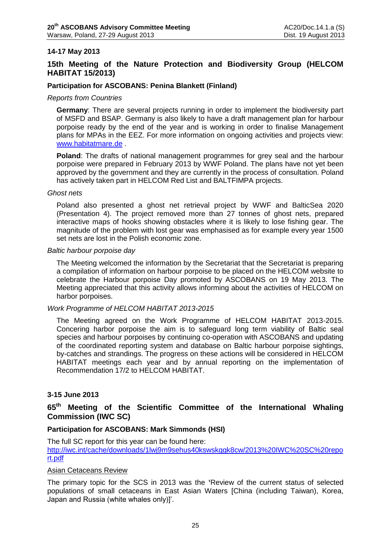### **14-17 May 2013**

## **15th Meeting of the Nature Protection and Biodiversity Group (HELCOM HABITAT 15/2013)**

#### **Participation for ASCOBANS: Penina Blankett (Finland)**

#### *Reports from Countries*

**Germany**: There are several projects running in order to implement the biodiversity part of MSFD and BSAP. Germany is also likely to have a draft management plan for harbour porpoise ready by the end of the year and is working in order to finalise Management plans for MPAs in the EEZ. For more information on ongoing activities and projects view: [www.habitatmare.de](http://www.habitatmare.de/) .

**Poland**: The drafts of national management programmes for grey seal and the harbour porpoise were prepared in February 2013 by WWF Poland. The plans have not yet been approved by the government and they are currently in the process of consultation. Poland has actively taken part in HELCOM Red List and BALTFIMPA projects.

#### *Ghost nets*

Poland also presented a ghost net retrieval project by WWF and BalticSea 2020 (Presentation 4). The project removed more than 27 tonnes of ghost nets, prepared interactive maps of hooks showing obstacles where it is likely to lose fishing gear. The magnitude of the problem with lost gear was emphasised as for example every year 1500 set nets are lost in the Polish economic zone.

#### *Baltic harbour porpoise day*

The Meeting welcomed the information by the Secretariat that the Secretariat is preparing a compilation of information on harbour porpoise to be placed on the HELCOM website to celebrate the Harbour porpoise Day promoted by ASCOBANS on 19 May 2013. The Meeting appreciated that this activity allows informing about the activities of HELCOM on harbor porpoises.

#### *Work Programme of HELCOM HABITAT 2013-2015*

The Meeting agreed on the Work Programme of HELCOM HABITAT 2013-2015. Concering harbor porpoise the aim is to safeguard long term viability of Baltic seal species and harbour porpoises by continuing co-operation with ASCOBANS and updating of the coordinated reporting system and database on Baltic harbour porpoise sightings, by-catches and strandings. The progress on these actions will be considered in HELCOM HABITAT meetings each year and by annual reporting on the implementation of Recommendation 17/2 to HELCOM HABITAT.

### **3-15 June 2013**

## **65th Meeting of the Scientific Committee of the International Whaling Commission (IWC SC)**

### **Participation for ASCOBANS: Mark Simmonds (HSI)**

The full SC report for this year can be found here: [http://iwc.int/cache/downloads/1lwj9m9sehus40kswskggk8cw/2013%20IWC%20SC%20repo](http://iwc.int/cache/downloads/1lwj9m9sehus40kswskggk8cw/2013%20IWC%20SC%20report.pdf) [rt.pdf](http://iwc.int/cache/downloads/1lwj9m9sehus40kswskggk8cw/2013%20IWC%20SC%20report.pdf)

#### Asian Cetaceans Review

The primary topic for the SCS in 2013 was the **'**Review of the current status of selected populations of small cetaceans in East Asian Waters [China (including Taiwan), Korea, Japan and Russia (white whales only)]'.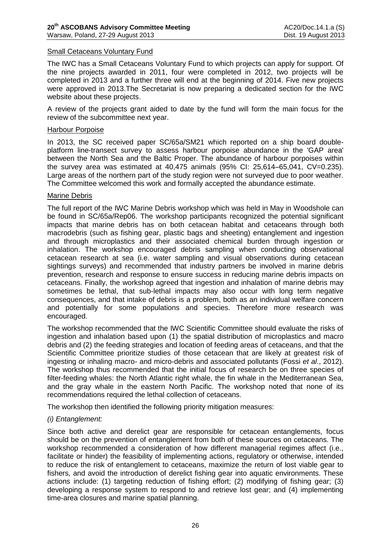### Small Cetaceans Voluntary Fund

The IWC has a Small Cetaceans Voluntary Fund to which projects can apply for support. Of the nine projects awarded in 2011, four were completed in 2012, two projects will be completed in 2013 and a further three will end at the beginning of 2014. Five new projects were approved in 2013.The Secretariat is now preparing a dedicated section for the IWC website about these projects.

A review of the projects grant aided to date by the fund will form the main focus for the review of the subcommittee next year.

#### Harbour Porpoise

In 2013, the SC received paper SC/65a/SM21 which reported on a ship board doubleplatform line-transect survey to assess harbour porpoise abundance in the 'GAP area' between the North Sea and the Baltic Proper. The abundance of harbour porpoises within the survey area was estimated at 40,475 animals (95% CI: 25,614–65,041, CV=0.235). Large areas of the northern part of the study region were not surveyed due to poor weather. The Committee welcomed this work and formally accepted the abundance estimate.

#### Marine Debris

The full report of the IWC Marine Debris workshop which was held in May in Woodshole can be found in SC/65a/Rep06. The workshop participants recognized the potential significant impacts that marine debris has on both cetacean habitat and cetaceans through both macrodebris (such as fishing gear, plastic bags and sheeting) entanglement and ingestion and through microplastics and their associated chemical burden through ingestion or inhalation. The workshop encouraged debris sampling when conducting observational cetacean research at sea (i.e. water sampling and visual observations during cetacean sightings surveys) and recommended that industry partners be involved in marine debris prevention, research and response to ensure success in reducing marine debris impacts on cetaceans. Finally, the workshop agreed that ingestion and inhalation of marine debris may sometimes be lethal, that sub-lethal impacts may also occur with long term negative consequences, and that intake of debris is a problem, both as an individual welfare concern and potentially for some populations and species. Therefore more research was encouraged.

The workshop recommended that the IWC Scientific Committee should evaluate the risks of ingestion and inhalation based upon (1) the spatial distribution of microplastics and macro debris and (2) the feeding strategies and location of feeding areas of cetaceans, and that the Scientific Committee prioritize studies of those cetacean that are likely at greatest risk of ingesting or inhaling macro- and micro-debris and associated pollutants (Fossi *et al*., 2012). The workshop thus recommended that the initial focus of research be on three species of filter-feeding whales: the North Atlantic right whale, the fin whale in the Mediterranean Sea, and the gray whale in the eastern North Pacific. The workshop noted that none of its recommendations required the lethal collection of cetaceans.

The workshop then identified the following priority mitigation measures:

#### *(i) Entanglement:*

Since both active and derelict gear are responsible for cetacean entanglements, focus should be on the prevention of entanglement from both of these sources on cetaceans. The workshop recommended a consideration of how different managerial regimes affect (i.e., facilitate or hinder) the feasibility of implementing actions, regulatory or otherwise, intended to reduce the risk of entanglement to cetaceans, maximize the return of lost viable gear to fishers, and avoid the introduction of derelict fishing gear into aquatic environments. These actions include: (1) targeting reduction of fishing effort; (2) modifying of fishing gear; (3) developing a response system to respond to and retrieve lost gear; and (4) implementing time-area closures and marine spatial planning.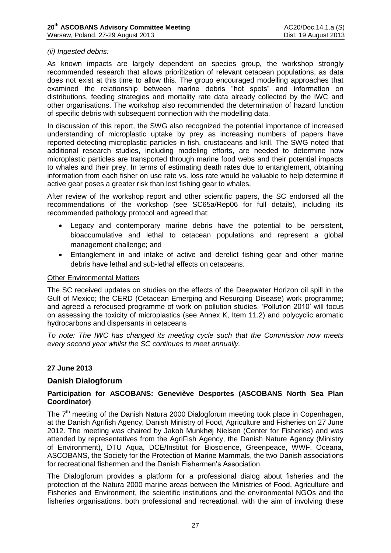### *(ii) Ingested debris:*

As known impacts are largely dependent on species group, the workshop strongly recommended research that allows prioritization of relevant cetacean populations, as data does not exist at this time to allow this. The group encouraged modelling approaches that examined the relationship between marine debris "hot spots" and information on distributions, feeding strategies and mortality rate data already collected by the IWC and other organisations. The workshop also recommended the determination of hazard function of specific debris with subsequent connection with the modelling data.

In discussion of this report, the SWG also recognized the potential importance of increased understanding of microplastic uptake by prey as increasing numbers of papers have reported detecting microplastic particles in fish, crustaceans and krill. The SWG noted that additional research studies, including modeling efforts, are needed to determine how microplastic particles are transported through marine food webs and their potential impacts to whales and their prey. In terms of estimating death rates due to entanglement, obtaining information from each fisher on use rate vs. loss rate would be valuable to help determine if active gear poses a greater risk than lost fishing gear to whales.

After review of the workshop report and other scientific papers, the SC endorsed all the recommendations of the workshop (see SC65a/Rep06 for full details), including its recommended pathology protocol and agreed that:

- Legacy and contemporary marine debris have the potential to be persistent, bioaccumulative and lethal to cetacean populations and represent a global management challenge; and
- Entanglement in and intake of active and derelict fishing gear and other marine debris have lethal and sub-lethal effects on cetaceans.

#### Other Environmental Matters

The SC received updates on studies on the effects of the Deepwater Horizon oil spill in the Gulf of Mexico; the CERD (Cetacean Emerging and Resurging Disease) work programme; and agreed a refocused programme of work on pollution studies. 'Pollution 2010' will focus on assessing the toxicity of microplastics (see Annex K, Item 11.2) and polycyclic aromatic hydrocarbons and dispersants in cetaceans

*To note: The IWC has changed its meeting cycle such that the Commission now meets every second year whilst the SC continues to meet annually.*

### **27 June 2013**

#### **Danish Dialogforum**

### **Participation for ASCOBANS: Geneviève Desportes (ASCOBANS North Sea Plan Coordinator)**

The 7<sup>th</sup> meeting of the Danish Natura 2000 Dialogforum meeting took place in Copenhagen, at the Danish Agrifish Agency, Danish Ministry of Food, Agriculture and Fisheries on 27 June 2012. The meeting was chaired by Jakob Munkhøj Nielsen (Center for Fisheries) and was attended by representatives from the AgriFish Agency, the Danish Nature Agency (Ministry of Environment), DTU Aqua, DCE/Institut for Bioscience, Greenpeace, WWF, Oceana, ASCOBANS, the Society for the Protection of Marine Mammals, the two Danish associations for recreational fishermen and the Danish Fishermen's Association.

The Dialogforum provides a platform for a professional dialog about fisheries and the protection of the Natura 2000 marine areas between the Ministries of Food, Agriculture and Fisheries and Environment, the scientific institutions and the environmental NGOs and the fisheries organisations, both professional and recreational, with the aim of involving these